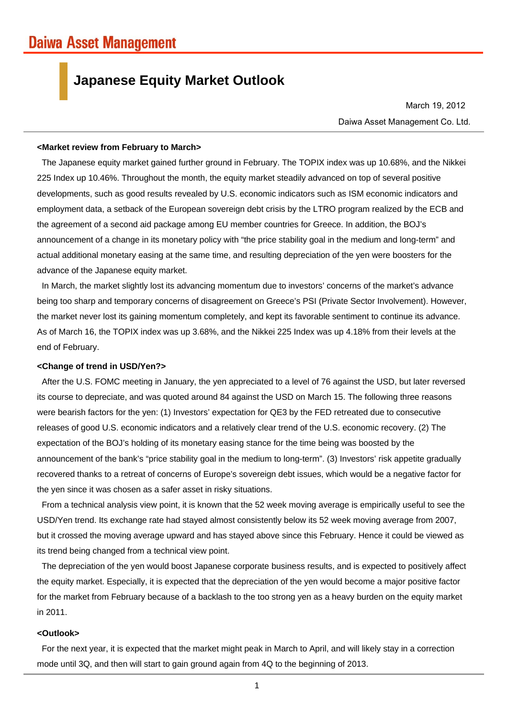# **Japanese Equity Market Outlook**

Daiwa Asset Management Co. Ltd. March 19, 2012

### **<Market review from February to March>**

The Japanese equity market gained further ground in February. The TOPIX index was up 10.68%, and the Nikkei 225 Index up 10.46%. Throughout the month, the equity market steadily advanced on top of several positive developments, such as good results revealed by U.S. economic indicators such as ISM economic indicators and employment data, a setback of the European sovereign debt crisis by the LTRO program realized by the ECB and the agreement of a second aid package among EU member countries for Greece. In addition, the BOJ's announcement of a change in its monetary policy with "the price stability goal in the medium and long-term" and actual additional monetary easing at the same time, and resulting depreciation of the yen were boosters for the advance of the Japanese equity market.

In March, the market slightly lost its advancing momentum due to investors' concerns of the market's advance being too sharp and temporary concerns of disagreement on Greece's PSI (Private Sector Involvement). However, the market never lost its gaining momentum completely, and kept its favorable sentiment to continue its advance. As of March 16, the TOPIX index was up 3.68%, and the Nikkei 225 Index was up 4.18% from their levels at the end of February.

#### **<Change of trend in USD/Yen?>**

After the U.S. FOMC meeting in January, the yen appreciated to a level of 76 against the USD, but later reversed its course to depreciate, and was quoted around 84 against the USD on March 15. The following three reasons were bearish factors for the yen: (1) Investors' expectation for QE3 by the FED retreated due to consecutive releases of good U.S. economic indicators and a relatively clear trend of the U.S. economic recovery. (2) The expectation of the BOJ's holding of its monetary easing stance for the time being was boosted by the announcement of the bank's "price stability goal in the medium to long-term". (3) Investors' risk appetite gradually recovered thanks to a retreat of concerns of Europe's sovereign debt issues, which would be a negative factor for the yen since it was chosen as a safer asset in risky situations.

From a technical analysis view point, it is known that the 52 week moving average is empirically useful to see the USD/Yen trend. Its exchange rate had stayed almost consistently below its 52 week moving average from 2007, but it crossed the moving average upward and has stayed above since this February. Hence it could be viewed as its trend being changed from a technical view point.

The depreciation of the yen would boost Japanese corporate business results, and is expected to positively affect the equity market. Especially, it is expected that the depreciation of the yen would become a major positive factor for the market from February because of a backlash to the too strong yen as a heavy burden on the equity market in 2011.

### **<Outlook>**

For the next year, it is expected that the market might peak in March to April, and will likely stay in a correction mode until 3Q, and then will start to gain ground again from 4Q to the beginning of 2013.

1